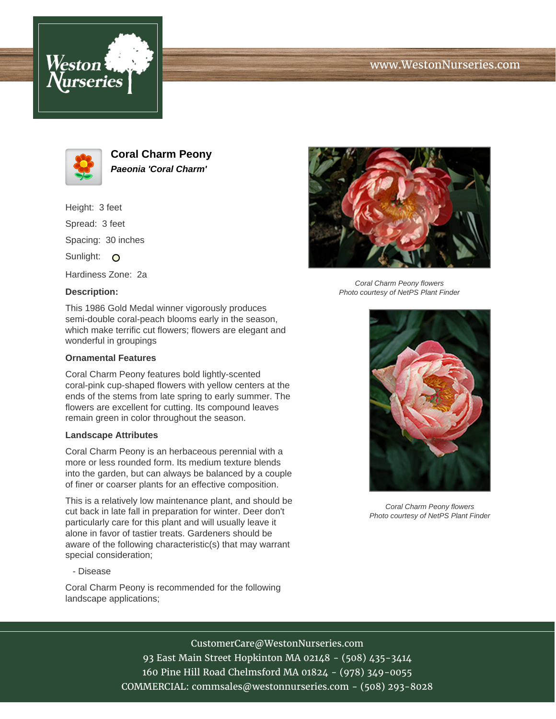





**Coral Charm Peony Paeonia 'Coral Charm'**

Height: 3 feet

Spread: 3 feet

Spacing: 30 inches

Sunlight: O

Hardiness Zone: 2a

## **Description:**

This 1986 Gold Medal winner vigorously produces semi-double coral-peach blooms early in the season, which make terrific cut flowers; flowers are elegant and wonderful in groupings

## **Ornamental Features**

Coral Charm Peony features bold lightly-scented coral-pink cup-shaped flowers with yellow centers at the ends of the stems from late spring to early summer. The flowers are excellent for cutting. Its compound leaves remain green in color throughout the season.

## **Landscape Attributes**

Coral Charm Peony is an herbaceous perennial with a more or less rounded form. Its medium texture blends into the garden, but can always be balanced by a couple of finer or coarser plants for an effective composition.

This is a relatively low maintenance plant, and should be cut back in late fall in preparation for winter. Deer don't particularly care for this plant and will usually leave it alone in favor of tastier treats. Gardeners should be aware of the following characteristic(s) that may warrant special consideration;

- Disease

Coral Charm Peony is recommended for the following landscape applications;



Coral Charm Peony flowers Photo courtesy of NetPS Plant Finder



Coral Charm Peony flowers Photo courtesy of NetPS Plant Finder

CustomerCare@WestonNurseries.com

93 East Main Street Hopkinton MA 02148 - (508) 435-3414 160 Pine Hill Road Chelmsford MA 01824 - (978) 349-0055 COMMERCIAL: commsales@westonnurseries.com - (508) 293-8028